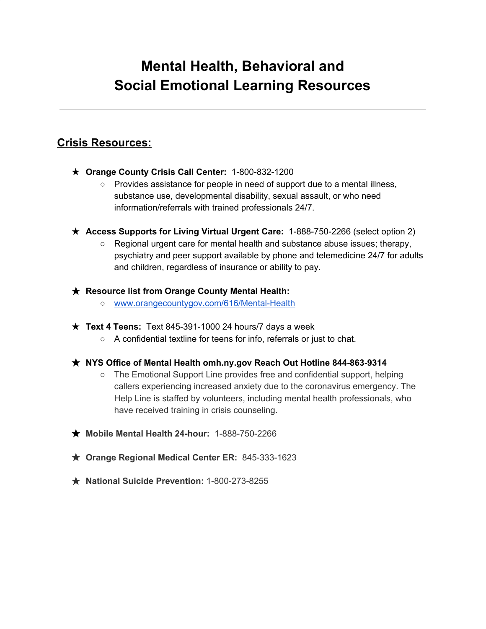# **Mental Health, Behavioral and Social Emotional Learning Resources**

# **Crisis Resources:**

- ★ **Orange County Crisis Call Center:** 1-800-832-1200
	- Provides assistance for people in need of support due to a mental illness, substance use, developmental disability, sexual assault, or who need information/referrals with trained professionals 24/7.
- ★ **Access Supports for Living Virtual Urgent Care:** 1-888-750-2266 (select option 2)
	- Regional urgent care for mental health and substance abuse issues; therapy, psychiatry and peer support available by phone and telemedicine 24/7 for adults and children, regardless of insurance or ability to pay.

### ★ **Resource list from Orange County Mental Health:**

- www.orangecountygov.com/616/Mental-Health
- ★ **Text 4 Teens:** Text 845-391-1000 24 hours/7 days a week
	- A confidential textline for teens for info, referrals or just to chat.

### ★ **NYS Office of Mental Health omh.ny.gov Reach Out Hotline 844-863-9314**

- The Emotional Support Line provides free and confidential support, helping callers experiencing increased anxiety due to the coronavirus emergency. The Help Line is staffed by volunteers, including mental health professionals, who have received training in crisis counseling.
- ★ **Mobile Mental Health 24-hour:** 1-888-750-2266
- ★ **Orange Regional Medical Center ER:** 845-333-1623
- ★ **National Suicide Prevention:** 1-800-273-8255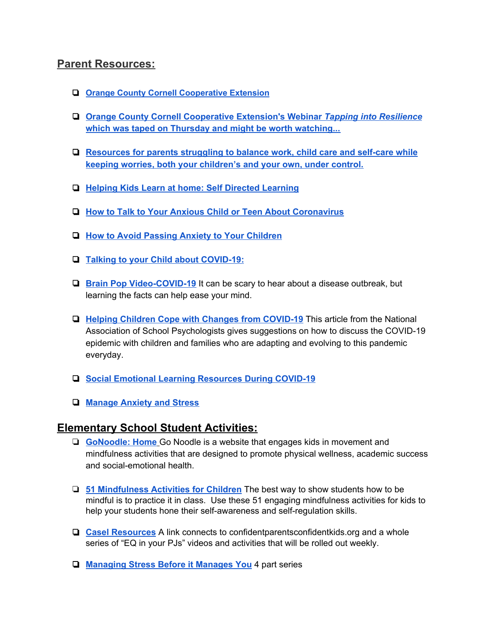## **Parent Resources:**

- ❏ **Orange County Cornell Cooperative Extension**
- ❏ **Orange County Cornell Cooperative Extension's Webinar** *Tapping into Resilience* **which was taped on Thursday and might be worth watching...**
- ❏ **Resources for parents struggling to balance work, child care and self-care while keeping worries, both your children's and your own, under control.**
- ❏ **Helping Kids Learn at home: Self Directed Learning**
- ❏ **How to Talk to Your Anxious Child or Teen About Coronavirus**
- ❏ **How to Avoid Passing Anxiety to Your Children**
- ❏ **Talking to your Child about COVID-19:**
- ❏ **Brain Pop Video-COVID-19** It can be scary to hear about a disease outbreak, but learning the facts can help ease your mind.
- ❏ **Helping Children Cope with Changes from COVID-19** This article from the National Association of School Psychologists gives suggestions on how to discuss the COVID-19 epidemic with children and families who are adapting and evolving to this pandemic everyday.
- ❏ **Social Emotional Learning Resources During COVID-19**
- ❏ **Manage Anxiety and Stress**

### **Elementary School Student Activities:**

- ❏ **GoNoodle: Home** Go Noodle is a website that engages kids in movement and mindfulness activities that are designed to promote physical wellness, academic success and social-emotional health.
- ❏ **51 Mindfulness Activities for Children** The best way to show students how to be mindful is to practice it in class. Use these 51 engaging mindfulness activities for kids to help your students hone their self-awareness and self-regulation skills.
- ❏ **Casel Resources** A link connects to confidentparentsconfidentkids.org and a whole series of "EQ in your PJs" videos and activities that will be rolled out weekly.
- ❏ **Managing Stress Before it Manages You** 4 part series